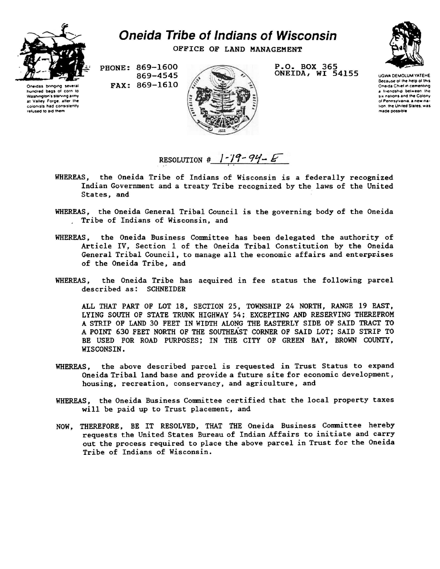

hundred bags of corn to Washington's starving army at Valley Forge, after the<br>colonists had consistently colonists had refused to aid them

## *Oneida Tribe of Indians of Wisconsin*

OFFICE OF LAND MANAGEMENT

PHONE: 869-1600 869-4545 FAX: 869-1610



P.O. BOX 365 ONEIDA, WI 54155



UGWA DEMOLUM YATEHE Because ot the help ol this Oneida Chief in cementing a friendship between the Six nations and the Colony of Pennsylvania, a new nation, the United States, was made possible

RESOLUTION #  $1-19-94-E$ 

- WHEREAS, the Oneida Tribe of Indians of Wisconsin is a federally recognized Indian Government and a treaty Tribe recognized by the laws of the United States, and
- WHEREAS, the Oneida General Tribal Council is the governing body of the Oneida , Tribe of Indians of Wisconsin, and
- WHEREAS, the Oneida Business Committee has been delegated the authority of Article IV, Section 1 of the Oneida Tribal Constitution by the Oneida General Tribal Council, to manage all the economic affairs and enterprises of the Oneida Tribe, and
- WHEREAS, the Oneida Tribe has acquired in fee status the following parcel described as: SCHNEIDER

ALL THAT PART OF LOT 18, SECTION 25, TOWNSHIP 24 NORTH, RANGE 19 EAST, LYING SOUTH OF STATE TRUNK HIGHWAY 54; EXCEPTING AND RESERVING THEREFROM A STRIP OP LAND 30 FEET IN WIDTH ALONG THE EASTERLY SIDE OF SAID TRACT TO A POINT 630 FEET NORTH OF THE SOUTHEAST CORNER OF SAID LOT; SAID STRIP TO BE USED FOR ROAD PURPOSES; IN THE CITY OF GREEN BAY, BROWN COUNTY, WISCONSIN.

- WHEREAS, the above described parcel is requested in Trust Status to expand Oneida Tribal land base and provide a future site for economic development, housing, recreation, conservancy, and agriculture, and
- WHEREAS, the Oneida Business Committee certified that the local property taxes will be paid up to Trust placement, and
- NOW, THEREFORE, BE IT RESOLVED, THAT THE Oneida Business Committee hereby requests the United States Bureau of Indian Affairs to initiate and carry out the process required to place the above parcel in Trust for the Oneida Tribe of Indians of Wisconsin.